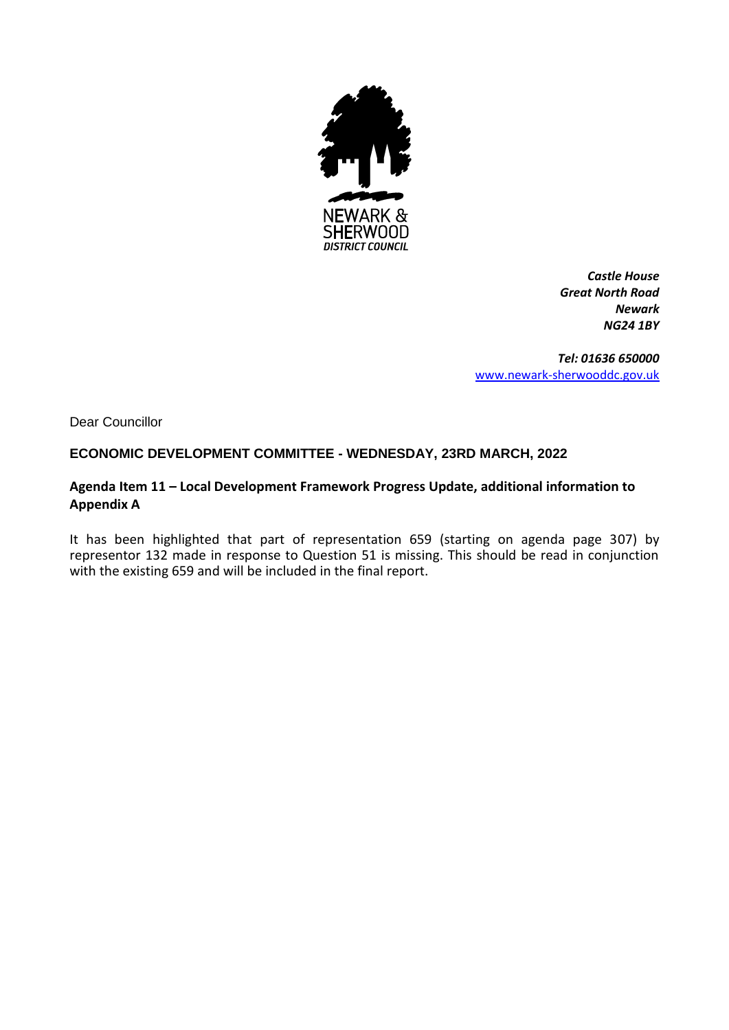

*Castle House Great North Road Newark NG24 1BY*

*Tel: 01636 650000* [www.newark-sherwooddc.gov.uk](http://www.newark-sherwooddc.gov.uk/)

Dear Councillor

# **ECONOMIC DEVELOPMENT COMMITTEE - WEDNESDAY, 23RD MARCH, 2022**

## **Agenda Item 11 – Local Development Framework Progress Update, additional information to Appendix A**

It has been highlighted that part of representation 659 (starting on agenda page 307) by representor 132 made in response to Question 51 is missing. This should be read in conjunction with the existing 659 and will be included in the final report.